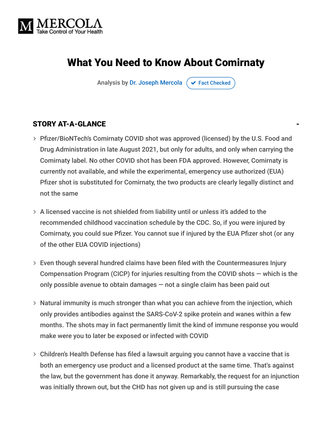

# What You Need to Know About Comirnaty

Analysis by [Dr. Joseph Mercola](https://www.mercola.com/forms/background.htm)  $\sigma$  [Fact Checked](javascript:void(0))

#### STORY AT-A-GLANCE

- Pfizer/BioNTech's Comirnaty COVID shot was approved (licensed) by the U.S. Food and Drug Administration in late August 2021, but only for adults, and only when carrying the Comirnaty label. No other COVID shot has been FDA approved. However, Comirnaty is currently not available, and while the experimental, emergency use authorized (EUA) Pfizer shot is substituted for Comirnaty, the two products are clearly legally distinct and not the same
- A licensed vaccine is not shielded from liability until or unless it's added to the recommended childhood vaccination schedule by the CDC. So, if you were injured by Comirnaty, you could sue Pfizer. You cannot sue if injured by the EUA Pfizer shot (or any of the other EUA COVID injections)
- Even though several hundred claims have been filed with the Countermeasures Injury Compensation Program (CICP) for injuries resulting from the COVID shots — which is the only possible avenue to obtain damages — not a single claim has been paid out
- Natural immunity is much stronger than what you can achieve from the injection, which only provides antibodies against the SARS-CoV-2 spike protein and wanes within a few months. The shots may in fact permanently limit the kind of immune response you would make were you to later be exposed or infected with COVID
- Children's Health Defense has filed a lawsuit arguing you cannot have a vaccine that is both an emergency use product and a licensed product at the same time. That's against the law, but the government has done it anyway. Remarkably, the request for an injunction was initially thrown out, but the CHD has not given up and is still pursuing the case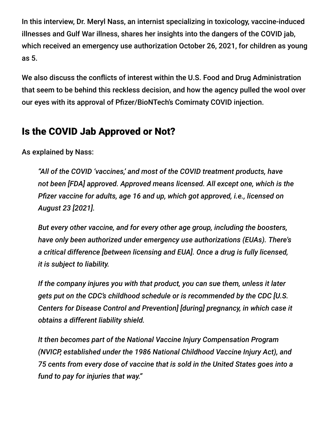In this interview, Dr. Meryl Nass, an internist specializing in toxicology, vaccine-induced illnesses and Gulf War illness, shares her insights into the dangers of the COVID jab, which received an emergency use authorization October 26, 2021, for children as young as 5.

We also discuss the conflicts of interest within the U.S. Food and Drug Administration that seem to be behind this reckless decision, and how the agency pulled the wool over our eyes with its approval of Pfizer/BioNTech's Comirnaty COVID injection.

# Is the COVID Jab Approved or Not?

As explained by Nass:

*"All of the COVID 'vaccines,' and most of the COVID treatment products, have not been [FDA] approved. Approved means licensed. All except one, which is the Pfizer vaccine for adults, age 16 and up, which got approved, i.e., licensed on August 23 [2021].*

*But every other vaccine, and for every other age group, including the boosters, have only been authorized under emergency use authorizations (EUAs). There's a critical difference [between licensing and EUA]. Once a drug is fully licensed, it is subject to liability.*

*If the company injures you with that product, you can sue them, unless it later gets put on the CDC's childhood schedule or is recommended by the CDC [U.S. Centers for Disease Control and Prevention] [during] pregnancy, in which case it obtains a different liability shield.*

*It then becomes part of the National Vaccine Injury Compensation Program (NVICP, established under the 1986 National Childhood Vaccine Injury Act), and 75 cents from every dose of vaccine that is sold in the United States goes into a fund to pay for injuries that way."*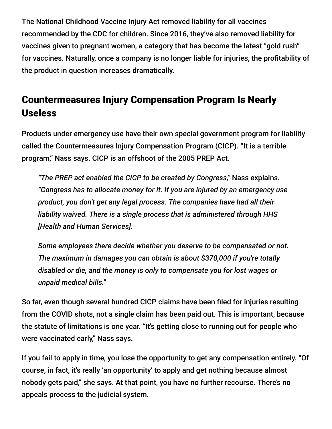The National Childhood Vaccine Injury Act removed liability for all vaccines recommended by the CDC for children. Since 2016, they've also removed liability for vaccines given to pregnant women, a category that has become the latest "gold rush" for vaccines. Naturally, once a company is no longer liable for injuries, the profitability of the product in question increases dramatically.

# Countermeasures Injury Compensation Program Is Nearly Useless

Products under emergency use have their own special government program for liability called the Countermeasures Injury Compensation Program (CICP). "It is a terrible program," Nass says. CICP is an offshoot of the 2005 PREP Act.

*"The PREP act enabled the CICP to be created by Congress,"* Nass explains. *"Congress has to allocate money for it. If you are injured by an emergency use product, you don't get any legal process. The companies have had all their liability waived. There is a single process that is administered through HHS [Health and Human Services].*

*Some employees there decide whether you deserve to be compensated or not. The maximum in damages you can obtain is about \$370,000 if you're totally disabled or die, and the money is only to compensate you for lost wages or unpaid medical bills."*

So far, even though several hundred CICP claims have been filed for injuries resulting from the COVID shots, not a single claim has been paid out. This is important, because the statute of limitations is one year. "It's getting close to running out for people who were vaccinated early," Nass says.

If you fail to apply in time, you lose the opportunity to get any compensation entirely. "Of course, in fact, it's really 'an opportunity' to apply and get nothing because almost nobody gets paid," she says. At that point, you have no further recourse. There's no appeals process to the judicial system.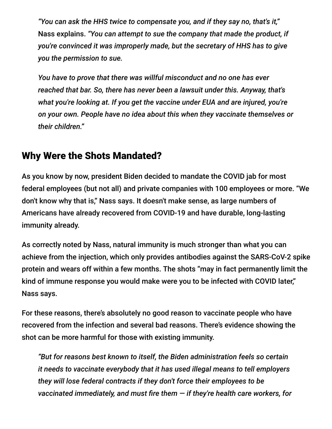*"You can ask the HHS twice to compensate you, and if they say no, that's it,"* Nass explains. *"You can attempt to sue the company that made the product, if you're convinced it was improperly made, but the secretary of HHS has to give you the permission to sue.*

*You have to prove that there was willful misconduct and no one has ever reached that bar. So, there has never been a lawsuit under this. Anyway, that's what you're looking at. If you get the vaccine under EUA and are injured, you're on your own. People have no idea about this when they vaccinate themselves or their children."*

### Why Were the Shots Mandated?

As you know by now, president Biden decided to mandate the COVID jab for most federal employees (but not all) and private companies with 100 employees or more. "We don't know why that is," Nass says. It doesn't make sense, as large numbers of Americans have already recovered from COVID-19 and have durable, long-lasting immunity already.

As correctly noted by Nass, natural immunity is much stronger than what you can achieve from the injection, which only provides antibodies against the SARS-CoV-2 spike protein and wears off within a few months. The shots "may in fact permanently limit the kind of immune response you would make were you to be infected with COVID later," Nass says.

For these reasons, there's absolutely no good reason to vaccinate people who have recovered from the infection and several bad reasons. There's evidence showing the shot can be more harmful for those with existing immunity.

*"But for reasons best known to itself, the Biden administration feels so certain it needs to vaccinate everybody that it has used illegal means to tell employers they will lose federal contracts if they don't force their employees to be vaccinated immediately, and must fire them — if they're health care workers, for*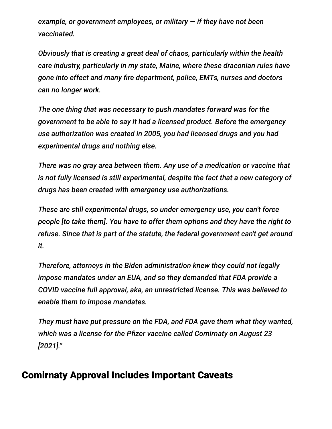*example, or government employees, or military — if they have not been vaccinated.*

*Obviously that is creating a great deal of chaos, particularly within the health care industry, particularly in my state, Maine, where these draconian rules have gone into effect and many fire department, police, EMTs, nurses and doctors can no longer work.*

*The one thing that was necessary to push mandates forward was for the government to be able to say it had a licensed product. Before the emergency use authorization was created in 2005, you had licensed drugs and you had experimental drugs and nothing else.*

*There was no gray area between them. Any use of a medication or vaccine that is not fully licensed is still experimental, despite the fact that a new category of drugs has been created with emergency use authorizations.*

*These are still experimental drugs, so under emergency use, you can't force people [to take them]. You have to offer them options and they have the right to refuse. Since that is part of the statute, the federal government can't get around it.*

*Therefore, attorneys in the Biden administration knew they could not legally impose mandates under an EUA, and so they demanded that FDA provide a COVID vaccine full approval, aka, an unrestricted license. This was believed to enable them to impose mandates.*

*They must have put pressure on the FDA, and FDA gave them what they wanted, which was a license for the Pfizer vaccine called Comirnaty on August 23 [2021]."*

# Comirnaty Approval Includes Important Caveats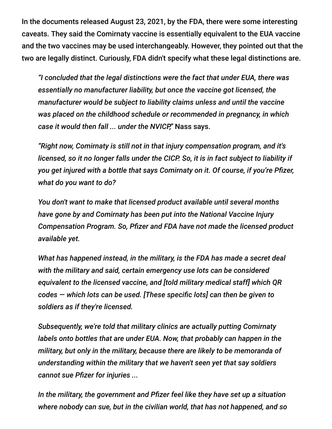In the documents released August 23, 2021, by the FDA, there were some interesting caveats. They said the Comirnaty vaccine is essentially equivalent to the EUA vaccine and the two vaccines may be used interchangeably. However, they pointed out that the two are legally distinct. Curiously, FDA didn't specify what these legal distinctions are.

*"I concluded that the legal distinctions were the fact that under EUA, there was essentially no manufacturer liability, but once the vaccine got licensed, the manufacturer would be subject to liability claims unless and until the vaccine was placed on the childhood schedule or recommended in pregnancy, in which case it would then fall ... under the NVICP,"* Nass says.

*"Right now, Comirnaty is still not in that injury compensation program, and it's licensed, so it no longer falls under the CICP. So, it is in fact subject to liability if you get injured with a bottle that says Comirnaty on it. Of course, if you're Pfizer, what do you want to do?*

*You don't want to make that licensed product available until several months have gone by and Comirnaty has been put into the National Vaccine Injury Compensation Program. So, Pfizer and FDA have not made the licensed product available yet.*

*What has happened instead, in the military, is the FDA has made a secret deal with the military and said, certain emergency use lots can be considered equivalent to the licensed vaccine, and [told military medical staff] which QR codes — which lots can be used. [These specific lots] can then be given to soldiers as if they're licensed.*

*Subsequently, we're told that military clinics are actually putting Comirnaty labels onto bottles that are under EUA. Now, that probably can happen in the military, but only in the military, because there are likely to be memoranda of understanding within the military that we haven't seen yet that say soldiers cannot sue Pfizer for injuries ...*

*In the military, the government and Pfizer feel like they have set up a situation where nobody can sue, but in the civilian world, that has not happened, and so*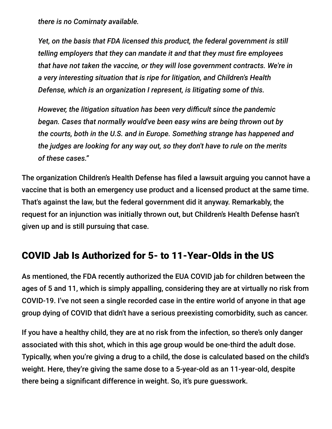*there is no Comirnaty available.*

*Yet, on the basis that FDA licensed this product, the federal government is still telling employers that they can mandate it and that they must fire employees that have not taken the vaccine, or they will lose government contracts. We're in a very interesting situation that is ripe for litigation, and Children's Health Defense, which is an organization I represent, is litigating some of this.*

*However, the litigation situation has been very difficult since the pandemic began. Cases that normally would've been easy wins are being thrown out by the courts, both in the U.S. and in Europe. Something strange has happened and the judges are looking for any way out, so they don't have to rule on the merits of these cases."*

The organization Children's Health Defense has filed a lawsuit arguing you cannot have a vaccine that is both an emergency use product and a licensed product at the same time. That's against the law, but the federal government did it anyway. Remarkably, the request for an injunction was initially thrown out, but Children's Health Defense hasn't given up and is still pursuing that case.

### COVID Jab Is Authorized for 5- to 11-Year-Olds in the US

As mentioned, the FDA recently authorized the EUA COVID jab for children between the ages of 5 and 11, which is simply appalling, considering they are at virtually no risk from COVID-19. I've not seen a single recorded case in the entire world of anyone in that age group dying of COVID that didn't have a serious preexisting comorbidity, such as cancer.

If you have a healthy child, they are at no risk from the infection, so there's only danger associated with this shot, which in this age group would be one-third the adult dose. Typically, when you're giving a drug to a child, the dose is calculated based on the child's weight. Here, they're giving the same dose to a 5-year-old as an 11-year-old, despite there being a significant difference in weight. So, it's pure guesswork.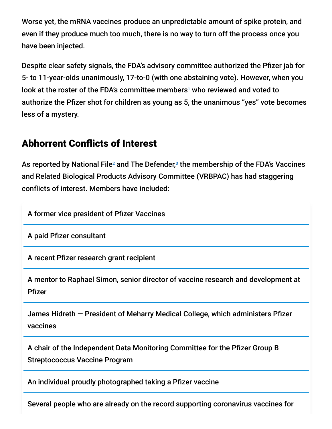Worse yet, the mRNA vaccines produce an unpredictable amount of spike protein, and even if they produce much too much, there is no way to turn off the process once you have been injected.

Despite clear safety signals, the FDA's advisory committee authorized the Pfizer jab for 5- to 11-year-olds unanimously, 17-to-0 (with one abstaining vote). However, when you look at the roster of the FDA's committee members<sup>1</sup> who reviewed and voted to authorize the Pfizer shot for children as young as 5, the unanimous "yes" vote becomes less of a mystery.

### Abhorrent Conflicts of Interest

As reported by National File<sup>2</sup> and The Defender, $^3$  the membership of the FDA's Vaccines and Related Biological Products Advisory Committee (VRBPAC) has had staggering conflicts of interest. Members have included:

A former vice president of Pfizer Vaccines

A paid Pfizer consultant

A recent Pfizer research grant recipient

A mentor to Raphael Simon, senior director of vaccine research and development at Pfizer

James Hidreth — President of Meharry Medical College, which administers Pfizer vaccines

A chair of the Independent Data Monitoring Committee for the Pfizer Group B Streptococcus Vaccine Program

An individual proudly photographed taking a Pfizer vaccine

Several people who are already on the record supporting coronavirus vaccines for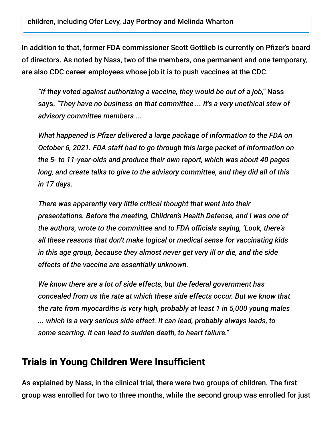In addition to that, former FDA commissioner Scott Gottlieb is currently on Pfizer's board of directors. As noted by Nass, two of the members, one permanent and one temporary, are also CDC career employees whose job it is to push vaccines at the CDC.

*"If they voted against authorizing a vaccine, they would be out of a job,"* Nass says. *"They have no business on that committee ... It's a very unethical stew of advisory committee members ...*

*What happened is Pfizer delivered a large package of information to the FDA on October 6, 2021. FDA staff had to go through this large packet of information on the 5- to 11-year-olds and produce their own report, which was about 40 pages long, and create talks to give to the advisory committee, and they did all of this in 17 days.*

*There was apparently very little critical thought that went into their presentations. Before the meeting, Children's Health Defense, and I was one of the authors, wrote to the committee and to FDA officials saying, 'Look, there's all these reasons that don't make logical or medical sense for vaccinating kids in this age group, because they almost never get very ill or die, and the side effects of the vaccine are essentially unknown.*

*We know there are a lot of side effects, but the federal government has concealed from us the rate at which these side effects occur. But we know that the rate from myocarditis is very high, probably at least 1 in 5,000 young males ... which is a very serious side effect. It can lead, probably always leads, to some scarring. It can lead to sudden death, to heart failure."*

# Trials in Young Children Were Insufficient

As explained by Nass, in the clinical trial, there were two groups of children. The first group was enrolled for two to three months, while the second group was enrolled for just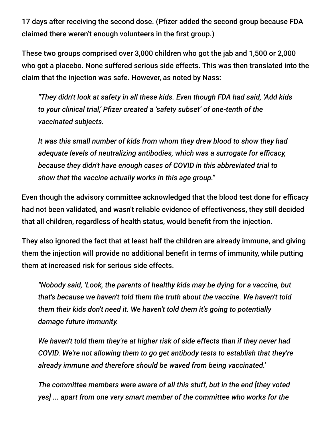17 days after receiving the second dose. (Pfizer added the second group because FDA claimed there weren't enough volunteers in the first group.)

These two groups comprised over 3,000 children who got the jab and 1,500 or 2,000 who got a placebo. None suffered serious side effects. This was then translated into the claim that the injection was safe. However, as noted by Nass:

*"They didn't look at safety in all these kids. Even though FDA had said, 'Add kids to your clinical trial,' Pfizer created a 'safety subset' of one-tenth of the vaccinated subjects.*

*It was this small number of kids from whom they drew blood to show they had adequate levels of neutralizing antibodies, which was a surrogate for efficacy, because they didn't have enough cases of COVID in this abbreviated trial to show that the vaccine actually works in this age group."*

Even though the advisory committee acknowledged that the blood test done for efficacy had not been validated, and wasn't reliable evidence of effectiveness, they still decided that all children, regardless of health status, would benefit from the injection.

They also ignored the fact that at least half the children are already immune, and giving them the injection will provide no additional benefit in terms of immunity, while putting them at increased risk for serious side effects.

*"Nobody said, 'Look, the parents of healthy kids may be dying for a vaccine, but that's because we haven't told them the truth about the vaccine. We haven't told them their kids don't need it. We haven't told them it's going to potentially damage future immunity.*

*We haven't told them they're at higher risk of side effects than if they never had COVID. We're not allowing them to go get antibody tests to establish that they're already immune and therefore should be waved from being vaccinated.'*

*The committee members were aware of all this stuff, but in the end [they voted yes] ... apart from one very smart member of the committee who works for the*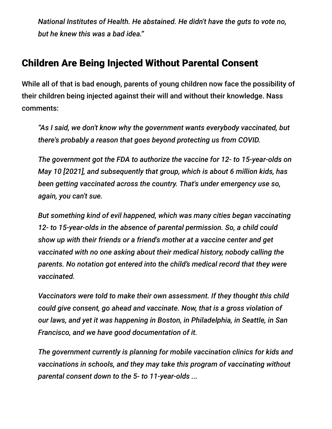*National Institutes of Health. He abstained. He didn't have the guts to vote no, but he knew this was a bad idea."*

### Children Are Being Injected Without Parental Consent

While all of that is bad enough, parents of young children now face the possibility of their children being injected against their will and without their knowledge. Nass comments:

*"As I said, we don't know why the government wants everybody vaccinated, but there's probably a reason that goes beyond protecting us from COVID.*

*The government got the FDA to authorize the vaccine for 12- to 15-year-olds on May 10 [2021], and subsequently that group, which is about 6 million kids, has been getting vaccinated across the country. That's under emergency use so, again, you can't sue.*

*But something kind of evil happened, which was many cities began vaccinating 12- to 15-year-olds in the absence of parental permission. So, a child could show up with their friends or a friend's mother at a vaccine center and get vaccinated with no one asking about their medical history, nobody calling the parents. No notation got entered into the child's medical record that they were vaccinated.*

*Vaccinators were told to make their own assessment. If they thought this child could give consent, go ahead and vaccinate. Now, that is a gross violation of our laws, and yet it was happening in Boston, in Philadelphia, in Seattle, in San Francisco, and we have good documentation of it.*

*The government currently is planning for mobile vaccination clinics for kids and vaccinations in schools, and they may take this program of vaccinating without parental consent down to the 5- to 11-year-olds ...*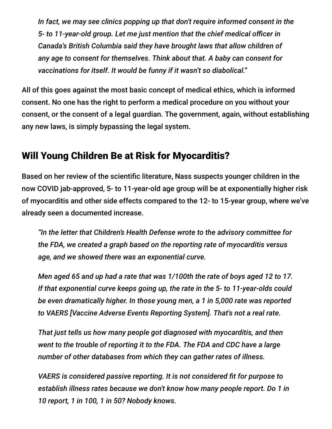*In fact, we may see clinics popping up that don't require informed consent in the 5- to 11-year-old group. Let me just mention that the chief medical officer in Canada's British Columbia said they have brought laws that allow children of any age to consent for themselves. Think about that. A baby can consent for vaccinations for itself. It would be funny if it wasn't so diabolical."*

All of this goes against the most basic concept of medical ethics, which is informed consent. No one has the right to perform a medical procedure on you without your consent, or the consent of a legal guardian. The government, again, without establishing any new laws, is simply bypassing the legal system.

### Will Young Children Be at Risk for Myocarditis?

Based on her review of the scientific literature, Nass suspects younger children in the now COVID jab-approved, 5- to 11-year-old age group will be at exponentially higher risk of myocarditis and other side effects compared to the 12- to 15-year group, where we've already seen a documented increase.

*"In the letter that Children's Health Defense wrote to the advisory committee for the FDA, we created a graph based on the reporting rate of myocarditis versus age, and we showed there was an exponential curve.*

*Men aged 65 and up had a rate that was 1/100th the rate of boys aged 12 to 17. If that exponential curve keeps going up, the rate in the 5- to 11-year-olds could be even dramatically higher. In those young men, a 1 in 5,000 rate was reported to VAERS [Vaccine Adverse Events Reporting System]. That's not a real rate.*

*That just tells us how many people got diagnosed with myocarditis, and then went to the trouble of reporting it to the FDA. The FDA and CDC have a large number of other databases from which they can gather rates of illness.*

*VAERS is considered passive reporting. It is not considered fit for purpose to establish illness rates because we don't know how many people report. Do 1 in 10 report, 1 in 100, 1 in 50? Nobody knows.*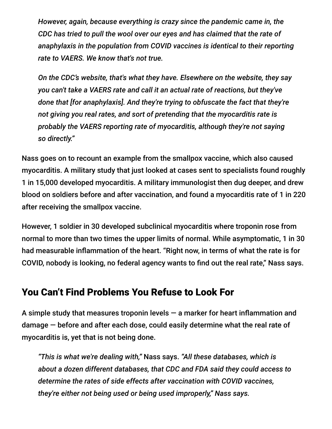*However, again, because everything is crazy since the pandemic came in, the CDC has tried to pull the wool over our eyes and has claimed that the rate of anaphylaxis in the population from COVID vaccines is identical to their reporting rate to VAERS. We know that's not true.*

*On the CDC's website, that's what they have. Elsewhere on the website, they say you can't take a VAERS rate and call it an actual rate of reactions, but they've done that [for anaphylaxis]. And they're trying to obfuscate the fact that they're not giving you real rates, and sort of pretending that the myocarditis rate is probably the VAERS reporting rate of myocarditis, although they're not saying so directly."*

Nass goes on to recount an example from the smallpox vaccine, which also caused myocarditis. A military study that just looked at cases sent to specialists found roughly 1 in 15,000 developed myocarditis. A military immunologist then dug deeper, and drew blood on soldiers before and after vaccination, and found a myocarditis rate of 1 in 220 after receiving the smallpox vaccine.

However, 1 soldier in 30 developed subclinical myocarditis where troponin rose from normal to more than two times the upper limits of normal. While asymptomatic, 1 in 30 had measurable inflammation of the heart. "Right now, in terms of what the rate is for COVID, nobody is looking, no federal agency wants to find out the real rate," Nass says.

# You Can't Find Problems You Refuse to Look For

A simple study that measures troponin levels  $-$  a marker for heart inflammation and damage — before and after each dose, could easily determine what the real rate of myocarditis is, yet that is not being done.

*"This is what we're dealing with,"* Nass says. *"All these databases, which is about a dozen different databases, that CDC and FDA said they could access to determine the rates of side effects after vaccination with COVID vaccines, they're either not being used or being used improperly," Nass says.*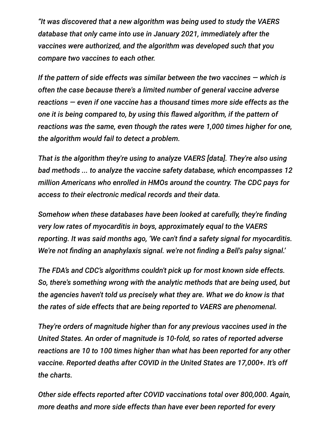*"It was discovered that a new algorithm was being used to study the VAERS database that only came into use in January 2021, immediately after the vaccines were authorized, and the algorithm was developed such that you compare two vaccines to each other.*

*If the pattern of side effects was similar between the two vaccines — which is often the case because there's a limited number of general vaccine adverse reactions — even if one vaccine has a thousand times more side effects as the one it is being compared to, by using this flawed algorithm, if the pattern of reactions was the same, even though the rates were 1,000 times higher for one, the algorithm would fail to detect a problem.*

*That is the algorithm they're using to analyze VAERS [data]. They're also using bad methods ... to analyze the vaccine safety database, which encompasses 12 million Americans who enrolled in HMOs around the country. The CDC pays for access to their electronic medical records and their data.*

*Somehow when these databases have been looked at carefully, they're finding very low rates of myocarditis in boys, approximately equal to the VAERS reporting. It was said months ago, 'We can't find a safety signal for myocarditis. We're not finding an anaphylaxis signal. we're not finding a Bell's palsy signal.'*

*The FDA's and CDC's algorithms couldn't pick up for most known side effects. So, there's something wrong with the analytic methods that are being used, but the agencies haven't told us precisely what they are. What we do know is that the rates of side effects that are being reported to VAERS are phenomenal.*

*They're orders of magnitude higher than for any previous vaccines used in the United States. An order of magnitude is 10-fold, so rates of reported adverse reactions are 10 to 100 times higher than what has been reported for any other vaccine. Reported deaths after COVID in the United States are 17,000+. It's off the charts.*

*Other side effects reported after COVID vaccinations total over 800,000. Again, more deaths and more side effects than have ever been reported for every*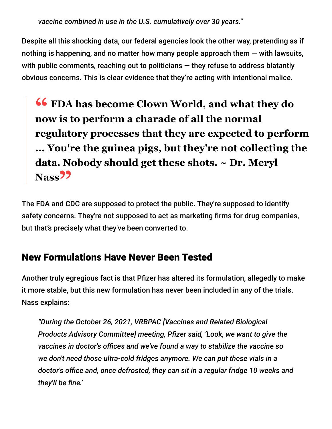*vaccine combined in use in the U.S. cumulatively over 30 years."*

Despite all this shocking data, our federal agencies look the other way, pretending as if nothing is happening, and no matter how many people approach them  $-$  with lawsuits, with public comments, reaching out to politicians  $-$  they refuse to address blatantly obvious concerns. This is clear evidence that they're acting with intentional malice.

**66** FDA has become Clown World, and what they do<br>now is to perform a charade of all the normal **now is to perform a charade of all the normal regulatory processes that they are expected to perform ... You're the guinea pigs, but they're not collecting the data. Nobody should get these shots. ~ Dr. Meryl Nass"**

The FDA and CDC are supposed to protect the public. They're supposed to identify safety concerns. They're not supposed to act as marketing firms for drug companies, but that's precisely what they've been converted to.

# New Formulations Have Never Been Tested

Another truly egregious fact is that Pfizer has altered its formulation, allegedly to make it more stable, but this new formulation has never been included in any of the trials. Nass explains:

*"During the October 26, 2021, VRBPAC [Vaccines and Related Biological Products Advisory Committee] meeting, Pfizer said, 'Look, we want to give the vaccines in doctor's offices and we've found a way to stabilize the vaccine so we don't need those ultra-cold fridges anymore. We can put these vials in a doctor's office and, once defrosted, they can sit in a regular fridge 10 weeks and they'll be fine.'*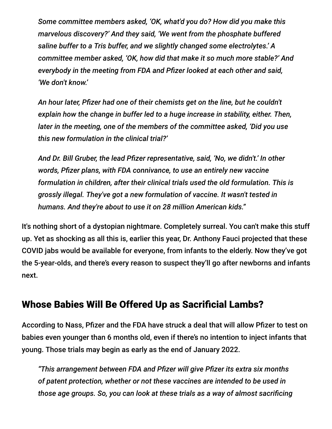*Some committee members asked, 'OK, what'd you do? How did you make this marvelous discovery?' And they said, 'We went from the phosphate buffered saline buffer to a Tris buffer, and we slightly changed some electrolytes.' A committee member asked, 'OK, how did that make it so much more stable?' And everybody in the meeting from FDA and Pfizer looked at each other and said, 'We don't know.'*

*An hour later, Pfizer had one of their chemists get on the line, but he couldn't explain how the change in buffer led to a huge increase in stability, either. Then, later in the meeting, one of the members of the committee asked, 'Did you use this new formulation in the clinical trial?'*

*And Dr. Bill Gruber, the lead Pfizer representative, said, 'No, we didn't.' In other words, Pfizer plans, with FDA connivance, to use an entirely new vaccine formulation in children, after their clinical trials used the old formulation. This is grossly illegal. They've got a new formulation of vaccine. It wasn't tested in humans. And they're about to use it on 28 million American kids."*

It's nothing short of a dystopian nightmare. Completely surreal. You can't make this stuff up. Yet as shocking as all this is, earlier this year, Dr. Anthony Fauci projected that these COVID jabs would be available for everyone, from infants to the elderly. Now they've got the 5-year-olds, and there's every reason to suspect they'll go after newborns and infants next.

### Whose Babies Will Be Offered Up as Sacrificial Lambs?

According to Nass, Pfizer and the FDA have struck a deal that will allow Pfizer to test on babies even younger than 6 months old, even if there's no intention to inject infants that young. Those trials may begin as early as the end of January 2022.

*"This arrangement between FDA and Pfizer will give Pfizer its extra six months of patent protection, whether or not these vaccines are intended to be used in those age groups. So, you can look at these trials as a way of almost sacrificing*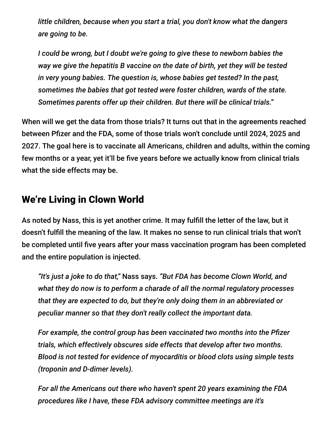*little children, because when you start a trial, you don't know what the dangers are going to be.*

*I could be wrong, but I doubt we're going to give these to newborn babies the way we give the hepatitis B vaccine on the date of birth, yet they will be tested in very young babies. The question is, whose babies get tested? In the past, sometimes the babies that got tested were foster children, wards of the state. Sometimes parents offer up their children. But there will be clinical trials."*

When will we get the data from those trials? It turns out that in the agreements reached between Pfizer and the FDA, some of those trials won't conclude until 2024, 2025 and 2027. The goal here is to vaccinate all Americans, children and adults, within the coming few months or a year, yet it'll be five years before we actually know from clinical trials what the side effects may be.

#### We're Living in Clown World

As noted by Nass, this is yet another crime. It may fulfill the letter of the law, but it doesn't fulfill the meaning of the law. It makes no sense to run clinical trials that won't be completed until five years after your mass vaccination program has been completed and the entire population is injected.

*"It's just a joke to do that,"* Nass says. *"But FDA has become Clown World, and what they do now is to perform a charade of all the normal regulatory processes that they are expected to do, but they're only doing them in an abbreviated or peculiar manner so that they don't really collect the important data.*

*For example, the control group has been vaccinated two months into the Pfizer trials, which effectively obscures side effects that develop after two months. Blood is not tested for evidence of myocarditis or blood clots using simple tests (troponin and D-dimer levels).*

*For all the Americans out there who haven't spent 20 years examining the FDA procedures like I have, these FDA advisory committee meetings are it's*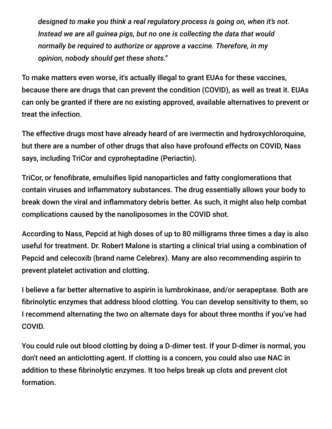*designed to make you think a real regulatory process is going on, when it's not. Instead we are all guinea pigs, but no one is collecting the data that would normally be required to authorize or approve a vaccine. Therefore, in my opinion, nobody should get these shots."*

To make matters even worse, it's actually illegal to grant EUAs for these vaccines, because there are drugs that can prevent the condition (COVID), as well as treat it. EUAs can only be granted if there are no existing approved, available alternatives to prevent or treat the infection.

The effective drugs most have already heard of are ivermectin and hydroxychloroquine, but there are a number of other drugs that also have profound effects on COVID, Nass says, including TriCor and cyproheptadine (Periactin).

TriCor, or fenofibrate, emulsifies lipid nanoparticles and fatty conglomerations that contain viruses and inflammatory substances. The drug essentially allows your body to break down the viral and inflammatory debris better. As such, it might also help combat complications caused by the nanoliposomes in the COVID shot.

According to Nass, Pepcid at high doses of up to 80 milligrams three times a day is also useful for treatment. Dr. Robert Malone is starting a clinical trial using a combination of Pepcid and celecoxib (brand name Celebrex). Many are also recommending aspirin to prevent platelet activation and clotting.

I believe a far better alternative to aspirin is lumbrokinase, and/or serapeptase. Both are fibrinolytic enzymes that address blood clotting. You can develop sensitivity to them, so I recommend alternating the two on alternate days for about three months if you've had COVID.

You could rule out blood clotting by doing a D-dimer test. If your D-dimer is normal, you don't need an anticlotting agent. If clotting is a concern, you could also use NAC in addition to these fibrinolytic enzymes. It too helps break up clots and prevent clot formation.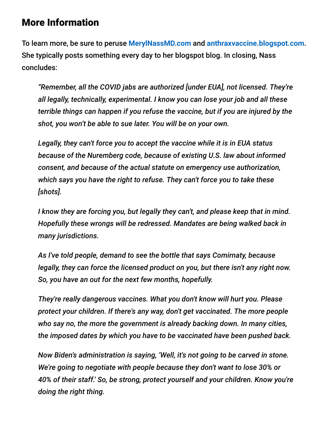### More Information

To learn more, be sure to peruse **[MerylNassMD.com](https://merylnassmd.com/)** and **[anthraxvaccine.blogspot.com](http://anthraxvaccine.blogspot.com/)**. She typically posts something every day to her blogspot blog. In closing, Nass concludes:

*"Remember, all the COVID jabs are authorized [under EUA], not licensed. They're all legally, technically, experimental. I know you can lose your job and all these terrible things can happen if you refuse the vaccine, but if you are injured by the shot, you won't be able to sue later. You will be on your own.*

*Legally, they can't force you to accept the vaccine while it is in EUA status because of the Nuremberg code, because of existing U.S. law about informed consent, and because of the actual statute on emergency use authorization, which says you have the right to refuse. They can't force you to take these [shots].*

*I know they are forcing you, but legally they can't, and please keep that in mind. Hopefully these wrongs will be redressed. Mandates are being walked back in many jurisdictions.*

*As I've told people, demand to see the bottle that says Comirnaty, because legally, they can force the licensed product on you, but there isn't any right now. So, you have an out for the next few months, hopefully.*

*They're really dangerous vaccines. What you don't know will hurt you. Please protect your children. If there's any way, don't get vaccinated. The more people who say no, the more the government is already backing down. In many cities, the imposed dates by which you have to be vaccinated have been pushed back.*

*Now Biden's administration is saying, 'Well, it's not going to be carved in stone. We're going to negotiate with people because they don't want to lose 30% or 40% of their staff.' So, be strong, protect yourself and your children. Know you're doing the right thing.*